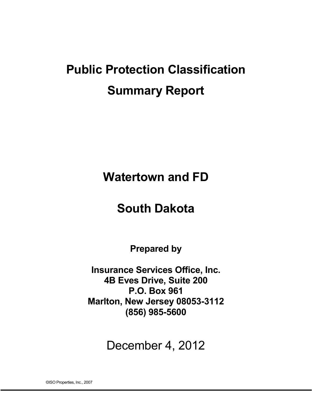# **Public Protection Classification Summary Report**

**Watertown and FD**

# **South Dakota**

**Prepared by** 

**Insurance Services Office, Inc. 4B Eves Drive, Suite 200 P.O. Box 961 Marlton, New Jersey 08053-3112 (856) 985-5600** 

December 4, 2012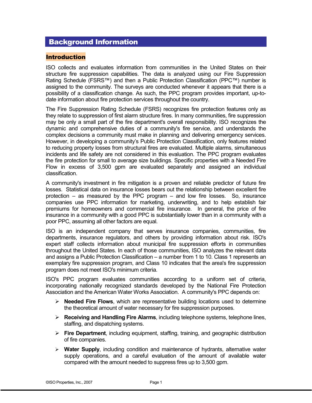# Background Information

#### Introduction

ISO collects and evaluates information from communities in the United States on their structure fire suppression capabilities. The data is analyzed using our Fire Suppression Rating Schedule (FSRS™) and then a Public Protection Classification (PPC™) number is assigned to the community. The surveys are conducted whenever it appears that there is a possibility of a classification change. As such, the PPC program provides important, up-todate information about fire protection services throughout the country.

The Fire Suppression Rating Schedule (FSRS) recognizes fire protection features only as they relate to suppression of first alarm structure fires. In many communities, fire suppression may be only a small part of the fire department's overall responsibility. ISO recognizes the dynamic and comprehensive duties of a community's fire service, and understands the complex decisions a community must make in planning and delivering emergency services. However, in developing a community's Public Protection Classification, only features related to reducing property losses from structural fires are evaluated. Multiple alarms, simultaneous incidents and life safety are not considered in this evaluation. The PPC program evaluates the fire protection for small to average size buildings. Specific properties with a Needed Fire Flow in excess of 3,500 gpm are evaluated separately and assigned an individual classification.

A community's investment in fire mitigation is a proven and reliable predictor of future fire losses. Statistical data on insurance losses bears out the relationship between excellent fire protection – as measured by the PPC program – and low fire losses. So, insurance companies use PPC information for marketing, underwriting, and to help establish fair premiums for homeowners and commercial fire insurance. In general, the price of fire insurance in a community with a good PPC is substantially lower than in a community with a poor PPC, assuming all other factors are equal.

ISO is an independent company that serves insurance companies, communities, fire departments, insurance regulators, and others by providing information about risk. ISO's expert staff collects information about municipal fire suppression efforts in communities throughout the United States. In each of those communities, ISO analyzes the relevant data and assigns a Public Protection Classification – a number from 1 to 10. Class 1 represents an exemplary fire suppression program, and Class 10 indicates that the area's fire suppression program does not meet ISO's minimum criteria.

ISO's PPC program evaluates communities according to a uniform set of criteria, incorporating nationally recognized standards developed by the National Fire Protection Association and the American Water Works Association. A community's PPC depends on:

- **Needed Fire Flows**, which are representative building locations used to determine the theoretical amount of water necessary for fire suppression purposes.
- **Receiving and Handling Fire Alarms**, including telephone systems, telephone lines, staffing, and dispatching systems.
- **Fire Department**, including equipment, staffing, training, and geographic distribution of fire companies.
- **Water Supply**, including condition and maintenance of hydrants, alternative water supply operations, and a careful evaluation of the amount of available water compared with the amount needed to suppress fires up to 3,500 gpm.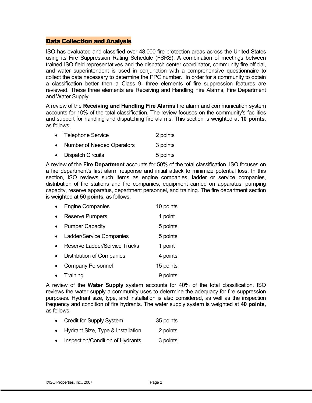#### Data Collection and Analysis

ISO has evaluated and classified over 48,000 fire protection areas across the United States using its Fire Suppression Rating Schedule (FSRS). A combination of meetings between trained ISO field representatives and the dispatch center coordinator, community fire official, and water superintendent is used in conjunction with a comprehensive questionnaire to collect the data necessary to determine the PPC number. In order for a community to obtain a classification better then a Class 9, three elements of fire suppression features are reviewed. These three elements are Receiving and Handling Fire Alarms, Fire Department and Water Supply.

A review of the **Receiving and Handling Fire Alarms** fire alarm and communication system accounts for 10% of the total classification. The review focuses on the community's facilities and support for handling and dispatching fire alarms. This section is weighted at **10 points,** as follows:

|           | • Telephone Service               | 2 points |
|-----------|-----------------------------------|----------|
| $\bullet$ | <b>Number of Needed Operators</b> | 3 points |
| $\bullet$ | <b>Dispatch Circuits</b>          | 5 points |

A review of the **Fire Department** accounts for 50% of the total classification. ISO focuses on a fire department's first alarm response and initial attack to minimize potential loss. In this section, ISO reviews such items as engine companies, ladder or service companies, distribution of fire stations and fire companies, equipment carried on apparatus, pumping capacity, reserve apparatus, department personnel, and training. The fire department section is weighted at **50 points,** as follows:

| <b>Engine Companies</b>       | 10 points |
|-------------------------------|-----------|
| <b>Reserve Pumpers</b>        | 1 point   |
| <b>Pumper Capacity</b>        | 5 points  |
| Ladder/Service Companies      | 5 points  |
| Reserve Ladder/Service Trucks | 1 point   |
| Distribution of Companies     | 4 points  |
| <b>Company Personnel</b>      | 15 points |
| Training                      | 9 points  |

A review of the **Water Supply** system accounts for 40% of the total classification. ISO reviews the water supply a community uses to determine the adequacy for fire suppression purposes. Hydrant size, type, and installation is also considered, as well as the inspection frequency and condition of fire hydrants. The water supply system is weighted at **40 points,** as follows:

- Credit for Supply System 35 points
- Hydrant Size, Type & Installation 2 points
- Inspection/Condition of Hydrants 3 points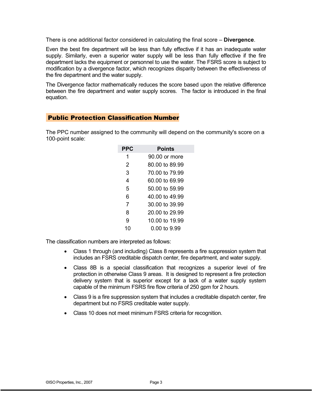There is one additional factor considered in calculating the final score – **Divergence**.

Even the best fire department will be less than fully effective if it has an inadequate water supply. Similarly, even a superior water supply will be less than fully effective if the fire department lacks the equipment or personnel to use the water. The FSRS score is subject to modification by a divergence factor, which recognizes disparity between the effectiveness of the fire department and the water supply.

The Divergence factor mathematically reduces the score based upon the relative difference between the fire department and water supply scores. The factor is introduced in the final equation.

# Public Protection Classification Number

The PPC number assigned to the community will depend on the community's score on a 100-point scale:

| <b>PPC</b> | Points         |  |  |
|------------|----------------|--|--|
| 1          | 90.00 or more  |  |  |
| 2          | 80.00 to 89.99 |  |  |
| 3          | 70,00 to 79.99 |  |  |
| 4          | 60.00 to 69.99 |  |  |
| 5          | 50,00 to 59,99 |  |  |
| 6          | 40 00 to 49 99 |  |  |
| 7          | 30.00 to 39.99 |  |  |
| 8          | 20.00 to 29.99 |  |  |
| 9          | 10,00 to 19,99 |  |  |
|            | N NN to 9.99   |  |  |

The classification numbers are interpreted as follows:

- Class 1 through (and including) Class 8 represents a fire suppression system that includes an FSRS creditable dispatch center, fire department, and water supply.
- Class 8B is a special classification that recognizes a superior level of fire protection in otherwise Class 9 areas. It is designed to represent a fire protection delivery system that is superior except for a lack of a water supply system capable of the minimum FSRS fire flow criteria of 250 gpm for 2 hours.
- Class 9 is a fire suppression system that includes a creditable dispatch center, fire department but no FSRS creditable water supply.
- Class 10 does not meet minimum FSRS criteria for recognition.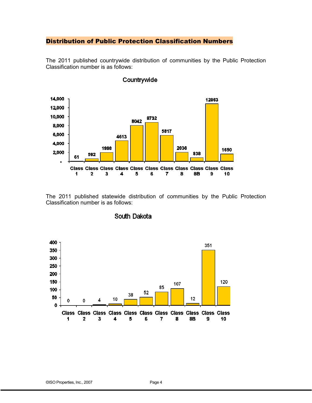#### Distribution of Public Protection Classification Numbers

The 2011 published countrywide distribution of communities by the Public Protection Classification number is as follows:



#### Countrywide

The 2011 published statewide distribution of communities by the Public Protection Classification number is as follows:



#### South Dakota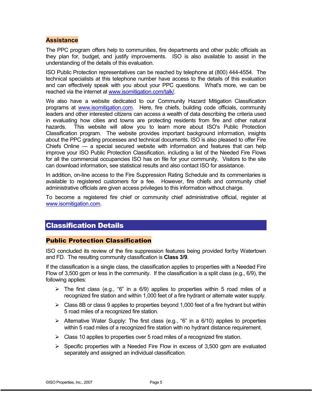# **Assistance**

The PPC program offers help to communities, fire departments and other public officials as they plan for, budget, and justify improvements. ISO is also available to assist in the understanding of the details of this evaluation.

ISO Public Protection representatives can be reached by telephone at (800) 444-4554. The technical specialists at this telephone number have access to the details of this evaluation and can effectively speak with you about your PPC questions. What's more, we can be reached via the internet at www.isomitigation.com/talk/.

We also have a website dedicated to our Community Hazard Mitigation Classification programs at www.isomitigation.com. Here, fire chiefs, building code officials, community leaders and other interested citizens can access a wealth of data describing the criteria used in evaluating how cities and towns are protecting residents from fire and other natural hazards. This website will allow you to learn more about ISO's Public Protection Classification program. The website provides important background information, insights about the PPC grading processes and technical documents. ISO is also pleased to offer Fire Chiefs Online — a special secured website with information and features that can help improve your ISO Public Protection Classification, including a list of the Needed Fire Flows for all the commercial occupancies ISO has on file for your community. Visitors to the site can download information, see statistical results and also contact ISO for assistance.

In addition, on-line access to the Fire Suppression Rating Schedule and its commentaries is available to registered customers for a fee. However, fire chiefs and community chief administrative officials are given access privileges to this information without charge.

To become a registered fire chief or community chief administrative official, register at www.isomitigation.com.

# Classification Details

#### Public Protection Classification

ISO concluded its review of the fire suppression features being provided for/by Watertown and FD. The resulting community classification is **Class 3/9**.

If the classification is a single class, the classification applies to properties with a Needed Fire Flow of 3,500 gpm or less in the community. If the classification is a split class (e.g., 6/9), the following applies:

- $\triangleright$  The first class (e.g., "6" in a 6/9) applies to properties within 5 road miles of a recognized fire station and within 1,000 feet of a fire hydrant or alternate water supply.
- $\triangleright$  Class 8B or class 9 applies to properties beyond 1,000 feet of a fire hydrant but within 5 road miles of a recognized fire station.
- $\triangleright$  Alternative Water Supply: The first class (e.g., "6" in a 6/10) applies to properties within 5 road miles of a recognized fire station with no hydrant distance requirement.
- $\triangleright$  Class 10 applies to properties over 5 road miles of a recognized fire station.
- $\triangleright$  Specific properties with a Needed Fire Flow in excess of 3,500 gpm are evaluated separately and assigned an individual classification.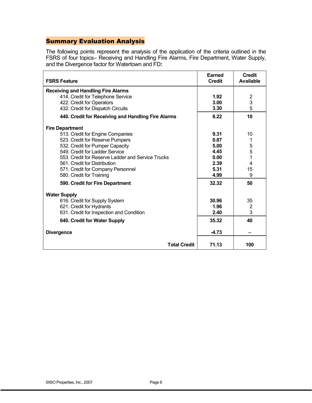# Summary Evaluation Analysis

The following points represent the analysis of the application of the criteria outlined in the FSRS of four topics– Receiving and Handling Fire Alarms, Fire Department, Water Supply, and the Divergence factor for Watertown and FD**:**

| <b>FSRS Feature</b>                                | <b>Earned</b><br><b>Credit</b> | <b>Credit</b><br><b>Available</b> |
|----------------------------------------------------|--------------------------------|-----------------------------------|
| <b>Receiving and Handling Fire Alarms</b>          |                                |                                   |
| 414. Credit for Telephone Service                  | 1.92                           | 2                                 |
| 422. Credit for Operators                          | 3.00                           | 3                                 |
| 432. Credit for Dispatch Circuits                  | 3.30                           | 5                                 |
| 440. Credit for Receiving and Handling Fire Alarms | 8.22                           | 10                                |
| <b>Fire Department</b>                             |                                |                                   |
| 513. Credit for Engine Companies                   | 9.31                           | 10                                |
| 523. Credit for Reserve Pumpers                    | 0.87                           | 1                                 |
| 532. Credit for Pumper Capacity                    | 5.00                           | $\frac{5}{5}$                     |
| 549. Credit for Ladder Service                     | 4.45                           |                                   |
| 553. Credit for Reserve Ladder and Service Trucks  | 0.00                           | $\overline{1}$                    |
| 561. Credit for Distribution                       | 2.39                           | 4                                 |
| 571. Credit for Company Personnel                  | 5.31                           | 15                                |
| 580. Credit for Training                           | 4.99                           | 9                                 |
| 590. Credit for Fire Department                    | 32.32                          | 50                                |
| <b>Water Supply</b>                                |                                |                                   |
| 616. Credit for Supply System                      | 30.96                          | 35                                |
| 621. Credit for Hydrants                           | 1.96                           | $\overline{2}$                    |
| 631. Credit for Inspection and Condition           | 2.40                           | 3                                 |
| 640. Credit for Water Supply                       | 35.32                          | 40                                |
| <b>Divergence</b>                                  | $-4.73$                        |                                   |
| <b>Total Credit</b>                                | 71.13                          | 100                               |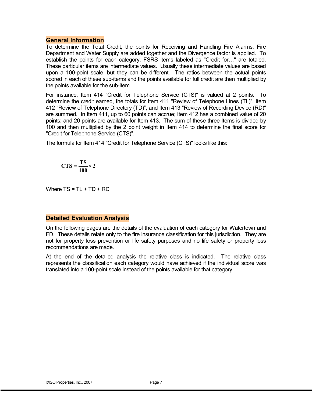#### **General Information**

To determine the Total Credit, the points for Receiving and Handling Fire Alarms, Fire Department and Water Supply are added together and the Divergence factor is applied. To establish the points for each category, FSRS items labeled as "Credit for…" are totaled. These particular items are intermediate values. Usually these intermediate values are based upon a 100-point scale, but they can be different. The ratios between the actual points scored in each of these sub-items and the points available for full credit are then multiplied by the points available for the sub-item.

For instance, Item 414 "Credit for Telephone Service (CTS)" is valued at 2 points. To determine the credit earned, the totals for Item 411 "Review of Telephone Lines (TL)", Item 412 "Review of Telephone Directory (TD)", and Item 413 "Review of Recording Device (RD)" are summed. In Item 411, up to 60 points can accrue; Item 412 has a combined value of 20 points; and 20 points are available for Item 413. The sum of these three Items is divided by 100 and then multiplied by the 2 point weight in Item 414 to determine the final score for "Credit for Telephone Service (CTS)".

The formula for Item 414 "Credit for Telephone Service (CTS)" looks like this:

$$
CTS = \frac{TS}{100} \times 2
$$

Where  $TS = TL + TD + RD$ 

#### **Detailed Evaluation Analysis**

On the following pages are the details of the evaluation of each category for Watertown and FD. These details relate only to the fire insurance classification for this jurisdiction. They are not for property loss prevention or life safety purposes and no life safety or property loss recommendations are made.

At the end of the detailed analysis the relative class is indicated. The relative class represents the classification each category would have achieved if the individual score was translated into a 100-point scale instead of the points available for that category.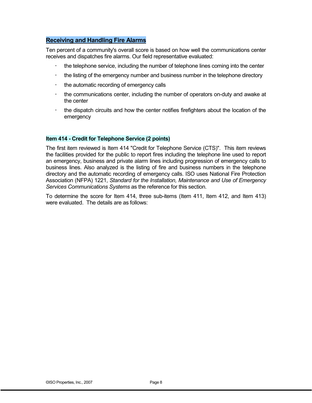# **Receiving and Handling Fire Alarms**

Ten percent of a community's overall score is based on how well the communications center receives and dispatches fire alarms. Our field representative evaluated:

- the telephone service, including the number of telephone lines coming into the center
- the listing of the emergency number and business number in the telephone directory
- $\bullet$ the automatic recording of emergency calls
- the communications center, including the number of operators on-duty and awake at the center
- the dispatch circuits and how the center notifies firefighters about the location of the emergency

#### **Item 414 - Credit for Telephone Service (2 points)**

The first item reviewed is Item 414 "Credit for Telephone Service (CTS)". This item reviews the facilities provided for the public to report fires including the telephone line used to report an emergency, business and private alarm lines including progression of emergency calls to business lines. Also analyzed is the listing of fire and business numbers in the telephone directory and the automatic recording of emergency calls. ISO uses National Fire Protection Association (NFPA) 1221, *Standard for the Installation, Maintenance and Use of Emergency Services Communications Systems* as the reference for this section.

To determine the score for Item 414, three sub-items (Item 411, Item 412, and Item 413) were evaluated. The details are as follows: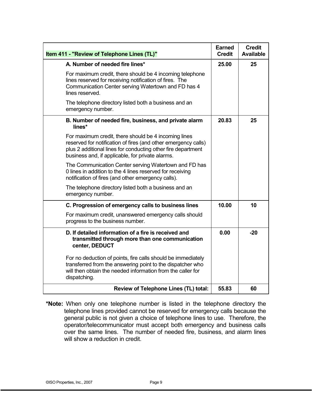| Item 411 - "Review of Telephone Lines (TL)"                                                                                                                                                                                                | <b>Earned</b><br><b>Credit</b> | <b>Credit</b><br><b>Available</b> |
|--------------------------------------------------------------------------------------------------------------------------------------------------------------------------------------------------------------------------------------------|--------------------------------|-----------------------------------|
| A. Number of needed fire lines*                                                                                                                                                                                                            | 25.00                          | 25                                |
| For maximum credit, there should be 4 incoming telephone<br>lines reserved for receiving notification of fires. The<br>Communication Center serving Watertown and FD has 4<br>lines reserved.                                              |                                |                                   |
| The telephone directory listed both a business and an<br>emergency number.                                                                                                                                                                 |                                |                                   |
| B. Number of needed fire, business, and private alarm<br>lines*                                                                                                                                                                            | 20.83                          | 25                                |
| For maximum credit, there should be 4 incoming lines<br>reserved for notification of fires (and other emergency calls)<br>plus 2 additional lines for conducting other fire department<br>business and, if applicable, for private alarms. |                                |                                   |
| The Communication Center serving Watertown and FD has<br>0 lines in addition to the 4 lines reserved for receiving<br>notification of fires (and other emergency calls).                                                                   |                                |                                   |
| The telephone directory listed both a business and an<br>emergency number.                                                                                                                                                                 |                                |                                   |
| C. Progression of emergency calls to business lines                                                                                                                                                                                        | 10.00                          | 10                                |
| For maximum credit, unanswered emergency calls should<br>progress to the business number.                                                                                                                                                  |                                |                                   |
| D. If detailed information of a fire is received and<br>transmitted through more than one communication<br>center, DEDUCT                                                                                                                  | 0.00                           | $-20$                             |
| For no deduction of points, fire calls should be immediately<br>transferred from the answering point to the dispatcher who<br>will then obtain the needed information from the caller for<br>dispatching.                                  |                                |                                   |
| Review of Telephone Lines (TL) total:                                                                                                                                                                                                      | 55.83                          | 60                                |

**\*Note:** When only one telephone number is listed in the telephone directory the telephone lines provided cannot be reserved for emergency calls because the general public is not given a choice of telephone lines to use. Therefore, the operator/telecommunicator must accept both emergency and business calls over the same lines. The number of needed fire, business, and alarm lines will show a reduction in credit.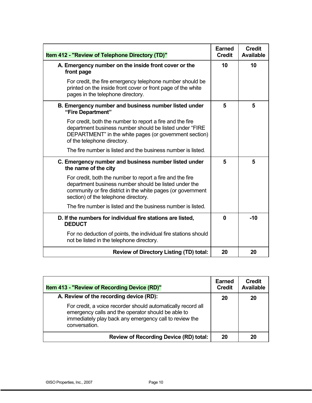| Item 412 - "Review of Telephone Directory (TD)"                                                                                                                                                                            | <b>Earned</b><br><b>Credit</b> | <b>Credit</b><br><b>Available</b> |
|----------------------------------------------------------------------------------------------------------------------------------------------------------------------------------------------------------------------------|--------------------------------|-----------------------------------|
| A. Emergency number on the inside front cover or the<br>front page                                                                                                                                                         | 10                             | 10                                |
| For credit, the fire emergency telephone number should be<br>printed on the inside front cover or front page of the white<br>pages in the telephone directory.                                                             |                                |                                   |
| B. Emergency number and business number listed under<br>"Fire Department"                                                                                                                                                  | 5                              | 5                                 |
| For credit, both the number to report a fire and the fire<br>department business number should be listed under "FIRE<br>DEPARTMENT" in the white pages (or government section)<br>of the telephone directory.              |                                |                                   |
| The fire number is listed and the business number is listed.                                                                                                                                                               |                                |                                   |
| C. Emergency number and business number listed under<br>the name of the city                                                                                                                                               | 5                              | 5                                 |
| For credit, both the number to report a fire and the fire<br>department business number should be listed under the<br>community or fire district in the white pages (or government<br>section) of the telephone directory. |                                |                                   |
| The fire number is listed and the business number is listed.                                                                                                                                                               |                                |                                   |
| D. If the numbers for individual fire stations are listed,<br><b>DEDUCT</b>                                                                                                                                                | $\bf{0}$                       | $-10$                             |
| For no deduction of points, the individual fire stations should<br>not be listed in the telephone directory.                                                                                                               |                                |                                   |
| <b>Review of Directory Listing (TD) total:</b>                                                                                                                                                                             | 20                             | 20                                |

| <b>Item 413 - "Review of Recording Device (RD)"</b>                                                                                                                                           | Earned<br><b>Credit</b> | <b>Credit</b><br><b>Available</b> |
|-----------------------------------------------------------------------------------------------------------------------------------------------------------------------------------------------|-------------------------|-----------------------------------|
| A. Review of the recording device (RD):                                                                                                                                                       | 20                      | 20                                |
| For credit, a voice recorder should automatically record all<br>emergency calls and the operator should be able to<br>immediately play back any emergency call to review the<br>conversation. |                         |                                   |
| <b>Review of Recording Device (RD) total:</b>                                                                                                                                                 | 20                      | 20                                |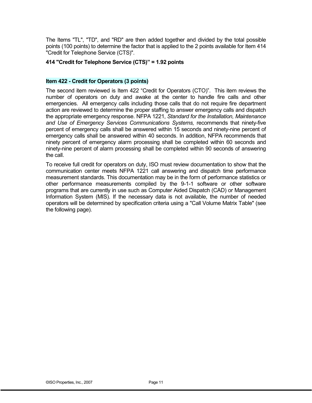The Items "TL", "TD", and "RD" are then added together and divided by the total possible points (100 points) to determine the factor that is applied to the 2 points available for Item 414 "Credit for Telephone Service (CTS)".

#### **414 "Credit for Telephone Service (CTS)" = 1.92 points**

#### **Item 422 - Credit for Operators (3 points)**

The second item reviewed is Item 422 "Credit for Operators (CTO)". This item reviews the number of operators on duty and awake at the center to handle fire calls and other emergencies. All emergency calls including those calls that do not require fire department action are reviewed to determine the proper staffing to answer emergency calls and dispatch the appropriate emergency response. NFPA 1221, *Standard for the Installation, Maintenance and Use of Emergency Services Communications Systems,* recommends that ninety-five percent of emergency calls shall be answered within 15 seconds and ninety-nine percent of emergency calls shall be answered within 40 seconds. In addition, NFPA recommends that ninety percent of emergency alarm processing shall be completed within 60 seconds and ninety-nine percent of alarm processing shall be completed within 90 seconds of answering the call.

To receive full credit for operators on duty, ISO must review documentation to show that the communication center meets NFPA 1221 call answering and dispatch time performance measurement standards. This documentation may be in the form of performance statistics or other performance measurements compiled by the 9-1-1 software or other software programs that are currently in use such as Computer Aided Dispatch (CAD) or Management Information System (MIS). If the necessary data is not available, the number of needed operators will be determined by specification criteria using a "Call Volume Matrix Table" (see the following page).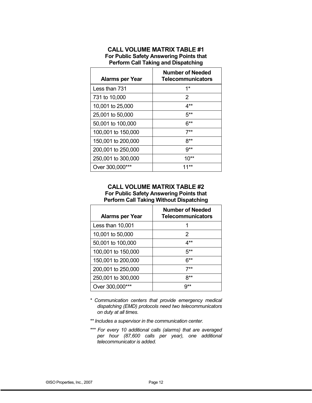#### **CALL VOLUME MATRIX TABLE #1 For Public Safety Answering Points that Perform Call Taking and Dispatching**

| <b>Alarms per Year</b> | <b>Number of Needed</b><br><b>Telecommunicators</b> |
|------------------------|-----------------------------------------------------|
| Less than 731          | $1*$                                                |
| 731 to 10,000          | 2                                                   |
| 10,001 to 25,000       | 4**                                                 |
| 25,001 to 50,000       | $5**$                                               |
| 50,001 to 100,000      | ճ**                                                 |
| 100,001 to 150,000     | 7**                                                 |
| 150,001 to 200,000     | ጸ**                                                 |
| 200,001 to 250,000     | 9**                                                 |
| 250,001 to 300,000     | $10^{**}$                                           |
| Over 300,000***        | $1***$                                              |

#### **CALL VOLUME MATRIX TABLE #2 For Public Safety Answering Points that Perform Call Taking Without Dispatching**

| <b>Alarms per Year</b> | <b>Number of Needed</b><br><b>Telecommunicators</b> |
|------------------------|-----------------------------------------------------|
| Less than 10,001       |                                                     |
| 10,001 to 50,000       | 2                                                   |
| 50,001 to 100,000      | 4**                                                 |
| 100,001 to 150,000     | 5**                                                 |
| 150,001 to 200,000     | ճ**                                                 |
| 200,001 to 250,000     | 7**                                                 |
| 250,001 to 300,000     | ጸ**                                                 |
| Over 300,000***        | g**                                                 |

*\* Communication centers that provide emergency medical dispatching (EMD) protocols need two telecommunicators on duty at all times.* 

*\*\* Includes a supervisor in the communication center.* 

*\*\*\* For every 10 additional calls (alarms) that are averaged per hour (87,600 calls per year), one additional telecommunicator is added.*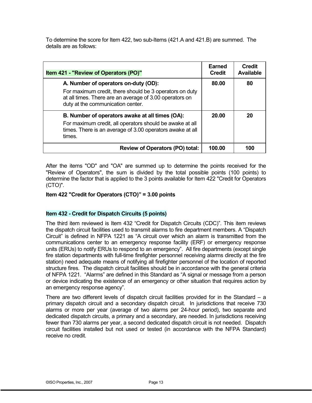To determine the score for Item 422, two sub-Items (421.A and 421.B) are summed. The details are as follows:

| Item 421 - "Review of Operators (PO)"                                                                                                                                                           | Earned<br><b>Credit</b> | <b>Credit</b><br><b>Available</b> |
|-------------------------------------------------------------------------------------------------------------------------------------------------------------------------------------------------|-------------------------|-----------------------------------|
| A. Number of operators on-duty (OD):<br>For maximum credit, there should be 3 operators on duty<br>at all times. There are an average of 3.00 operators on<br>duty at the communication center. | 80.00                   | 80                                |
| B. Number of operators awake at all times (OA):<br>For maximum credit, all operators should be awake at all<br>times. There is an average of 3.00 operators awake at all<br>times.              | 20.00                   | 20                                |
| Review of Operators (PO) total:                                                                                                                                                                 | 100.00                  | 100                               |

After the items "OD" and "OA" are summed up to determine the points received for the "Review of Operators", the sum is divided by the total possible points (100 points) to determine the factor that is applied to the 3 points available for Item 422 "Credit for Operators (CTO)".

#### **Item 422 "Credit for Operators (CTO)" = 3.00 points**

#### **Item 432 - Credit for Dispatch Circuits (5 points)**

The third item reviewed is Item 432 "Credit for Dispatch Circuits (CDC)". This item reviews the dispatch circuit facilities used to transmit alarms to fire department members. A "Dispatch Circuit" is defined in NFPA 1221 as "A circuit over which an alarm is transmitted from the communications center to an emergency response facility (ERF) or emergency response units (ERUs) to notify ERUs to respond to an emergency". All fire departments (except single fire station departments with full-time firefighter personnel receiving alarms directly at the fire station) need adequate means of notifying all firefighter personnel of the location of reported structure fires. The dispatch circuit facilities should be in accordance with the general criteria of NFPA 1221. "Alarms" are defined in this Standard as "A signal or message from a person or device indicating the existence of an emergency or other situation that requires action by an emergency response agency".

There are two different levels of dispatch circuit facilities provided for in the Standard – a primary dispatch circuit and a secondary dispatch circuit. In jurisdictions that receive 730 alarms or more per year (average of two alarms per 24-hour period), two separate and dedicated dispatch circuits, a primary and a secondary, are needed. In jurisdictions receiving fewer than 730 alarms per year, a second dedicated dispatch circuit is not needed. Dispatch circuit facilities installed but not used or tested (in accordance with the NFPA Standard) receive no credit.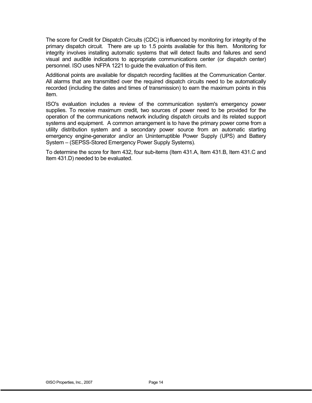The score for Credit for Dispatch Circuits (CDC) is influenced by monitoring for integrity of the primary dispatch circuit. There are up to 1.5 points available for this Item. Monitoring for integrity involves installing automatic systems that will detect faults and failures and send visual and audible indications to appropriate communications center (or dispatch center) personnel. ISO uses NFPA 1221 to guide the evaluation of this item.

Additional points are available for dispatch recording facilities at the Communication Center. All alarms that are transmitted over the required dispatch circuits need to be automatically recorded (including the dates and times of transmission) to earn the maximum points in this item.

ISO's evaluation includes a review of the communication system's emergency power supplies. To receive maximum credit, two sources of power need to be provided for the operation of the communications network including dispatch circuits and its related support systems and equipment. A common arrangement is to have the primary power come from a utility distribution system and a secondary power source from an automatic starting emergency engine-generator and/or an Uninterruptible Power Supply (UPS) and Battery System – (SEPSS-Stored Emergency Power Supply Systems).

To determine the score for Item 432, four sub-items (Item 431.A, Item 431.B, Item 431.C and Item 431.D) needed to be evaluated.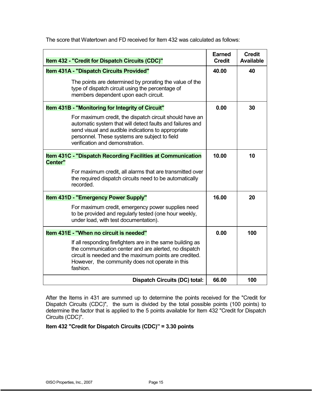| Item 432 - "Credit for Dispatch Circuits (CDC)"                                                                                                                                                                                                                | <b>Earned</b><br><b>Credit</b> | <b>Credit</b><br><b>Available</b> |
|----------------------------------------------------------------------------------------------------------------------------------------------------------------------------------------------------------------------------------------------------------------|--------------------------------|-----------------------------------|
| Item 431A - "Dispatch Circuits Provided"                                                                                                                                                                                                                       | 40.00                          | 40                                |
| The points are determined by prorating the value of the<br>type of dispatch circuit using the percentage of<br>members dependent upon each circuit.                                                                                                            |                                |                                   |
| Item 431B - "Monitoring for Integrity of Circuit"                                                                                                                                                                                                              | 0.00                           | 30                                |
| For maximum credit, the dispatch circuit should have an<br>automatic system that will detect faults and failures and<br>send visual and audible indications to appropriate<br>personnel. These systems are subject to field<br>verification and demonstration. |                                |                                   |
| Item 431C - "Dispatch Recording Facilities at Communication<br>Center"                                                                                                                                                                                         | 10.00                          | 10                                |
| For maximum credit, all alarms that are transmitted over<br>the required dispatch circuits need to be automatically<br>recorded.                                                                                                                               |                                |                                   |
| Item 431D - "Emergency Power Supply"                                                                                                                                                                                                                           | 16.00                          | 20                                |
| For maximum credit, emergency power supplies need<br>to be provided and regularly tested (one hour weekly,<br>under load, with test documentation).                                                                                                            |                                |                                   |
| Item 431E - "When no circuit is needed"                                                                                                                                                                                                                        | 0.00                           | 100                               |
| If all responding firefighters are in the same building as<br>the communication center and are alerted, no dispatch<br>circuit is needed and the maximum points are credited.<br>However, the community does not operate in this<br>fashion.                   |                                |                                   |
| <b>Dispatch Circuits (DC) total:</b>                                                                                                                                                                                                                           | 66.00                          | 100                               |

The score that Watertown and FD received for Item 432 was calculated as follows:

After the Items in 431 are summed up to determine the points received for the "Credit for Dispatch Circuits (CDC)", the sum is divided by the total possible points (100 points) to determine the factor that is applied to the 5 points available for Item 432 "Credit for Dispatch Circuits (CDC)".

**Item 432 "Credit for Dispatch Circuits (CDC)" = 3.30 points**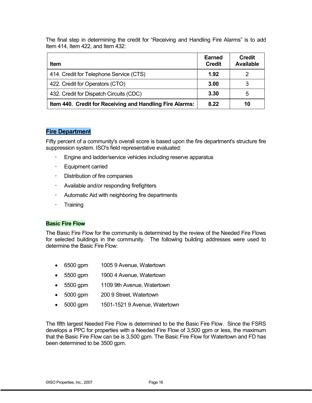The final step in determining the credit for "Receiving and Handling Fire Alarms" is to add Item 414, Item 422, and Item 432:

| <b>Item</b>                                              | Earned<br><b>Credit</b> | <b>Credit</b><br><b>Available</b> |
|----------------------------------------------------------|-------------------------|-----------------------------------|
| 414. Credit for Telephone Service (CTS)                  | 1.92                    |                                   |
| 422. Credit for Operators (CTO)                          | 3.00                    |                                   |
| 432. Credit for Dispatch Circuits (CDC)                  | 3.30                    | 5                                 |
| Item 440. Credit for Receiving and Handling Fire Alarms: | 8.22                    | 10                                |

#### **Fire Department**

Fifty percent of a community's overall score is based upon the fire department's structure fire suppression system. ISO's field representative evaluated:

- -Engine and ladder/service vehicles including reserve apparatus
- -Equipment carried
- -Distribution of fire companies
- -Available and/or responding firefighters
- -Automatic Aid with neighboring fire departments
- -**Training**

#### **Basic Fire Flow**

The Basic Fire Flow for the community is determined by the review of the Needed Fire Flows for selected buildings in the community. The following building addresses were used to determine the Basic Fire Flow:

- 6500 gpm 1005 9 Avenue, Watertown
- 5500 gpm 1900 4 Avenue, Watertown
- 5500 gpm 1109 9th Avenue, Watertown
- 5000 gpm 200 9 Street, Watertown
- 5000 gpm 1501-1521 9 Avenue, Watertown

The fifth largest Needed Fire Flow is determined to be the Basic Fire Flow. Since the FSRS develops a PPC for properties with a Needed Fire Flow of 3,500 gpm or less, the maximum that the Basic Fire Flow can be is 3,500 gpm. The Basic Fire Flow for Watertown and FD has been determined to be 3500 gpm.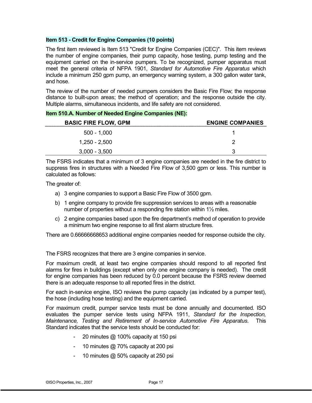#### **Item 513 - Credit for Engine Companies (10 points)**

The first item reviewed is Item 513 "Credit for Engine Companies (CEC)". This item reviews the number of engine companies, their pump capacity, hose testing, pump testing and the equipment carried on the in-service pumpers. To be recognized, pumper apparatus must meet the general criteria of NFPA 1901, *Standard for Automotive Fire Apparatus* which include a minimum 250 gpm pump, an emergency warning system, a 300 gallon water tank, and hose.

The review of the number of needed pumpers considers the Basic Fire Flow; the response distance to built-upon areas; the method of operation; and the response outside the city. Multiple alarms, simultaneous incidents, and life safety are not considered.

**Item 510.A. Number of Needed Engine Companies (NE):** 

| <b>BASIC FIRE FLOW, GPM</b> | <b>ENGINE COMPANIES</b> |
|-----------------------------|-------------------------|
| 500 - 1.000                 |                         |
| $1,250 - 2,500$             |                         |
| $3,000 - 3,500$             |                         |

The FSRS indicates that a minimum of 3 engine companies are needed in the fire district to suppress fires in structures with a Needed Fire Flow of 3,500 gpm or less. This number is calculated as follows:

The greater of:

- a) 3 engine companies to support a Basic Fire Flow of 3500 gpm.
- b) 1 engine company to provide fire suppression services to areas with a reasonable number of properties without a responding fire station within 1½ miles.
- c) 2 engine companies based upon the fire department's method of operation to provide a minimum two engine response to all first alarm structure fires.

There are 0.66666668653 additional engine companies needed for response outside the city.

The FSRS recognizes that there are 3 engine companies in service.

For maximum credit, at least two engine companies should respond to all reported first alarms for fires in buildings (except when only one engine company is needed). The credit for engine companies has been reduced by 0.0 percent because the FSRS review deemed there is an adequate response to all reported fires in the district.

For each in-service engine, ISO reviews the pump capacity (as indicated by a pumper test), the hose (including hose testing) and the equipment carried.

For maximum credit, pumper service tests must be done annually and documented. ISO evaluates the pumper service tests using NFPA 1911, *Standard for the Inspection, Maintenance, Testing and Retirement of In-service Automotive Fire Apparatus*. This Standard indicates that the service tests should be conducted for:

- 20 minutes @ 100% capacity at 150 psi
- 10 minutes @ 70% capacity at 200 psi
- 10 minutes @ 50% capacity at 250 psi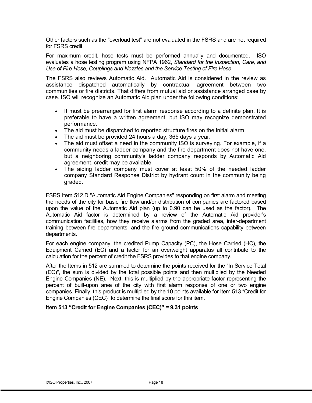Other factors such as the "overload test" are not evaluated in the FSRS and are not required for FSRS credit.

For maximum credit, hose tests must be performed annually and documented. ISO evaluates a hose testing program using NFPA 1962, *Standard for the Inspection, Care, and Use of Fire Hose, Couplings and Nozzles and the Service Testing of Fire Hose*.

The FSRS also reviews Automatic Aid. Automatic Aid is considered in the review as assistance dispatched automatically by contractual agreement between two communities or fire districts. That differs from mutual aid or assistance arranged case by case. ISO will recognize an Automatic Aid plan under the following conditions:

- It must be prearranged for first alarm response according to a definite plan. It is preferable to have a written agreement, but ISO may recognize demonstrated performance.
- The aid must be dispatched to reported structure fires on the initial alarm.
- The aid must be provided 24 hours a day, 365 days a year.
- The aid must offset a need in the community ISO is surveying. For example, if a community needs a ladder company and the fire department does not have one, but a neighboring community's ladder company responds by Automatic Aid agreement, credit may be available.
- The aiding ladder company must cover at least 50% of the needed ladder company Standard Response District by hydrant count in the community being graded.

FSRS Item 512.D "Automatic Aid Engine Companies" responding on first alarm and meeting the needs of the city for basic fire flow and/or distribution of companies are factored based upon the value of the Automatic Aid plan (up to 0.90 can be used as the factor). The Automatic Aid factor is determined by a review of the Automatic Aid provider's communication facilities, how they receive alarms from the graded area, inter-department training between fire departments, and the fire ground communications capability between departments.

For each engine company, the credited Pump Capacity (PC), the Hose Carried (HC), the Equipment Carried (EC) and a factor for an overweight apparatus all contribute to the calculation for the percent of credit the FSRS provides to that engine company.

After the Items in 512 are summed to determine the points received for the "In Service Total (EC)", the sum is divided by the total possible points and then multiplied by the Needed Engine Companies (NE). Next, this is multiplied by the appropriate factor representing the percent of built-upon area of the city with first alarm response of one or two engine companies. Finally, this product is multiplied by the 10 points available for Item 513 "Credit for Engine Companies (CEC)" to determine the final score for this item.

#### **Item 513 "Credit for Engine Companies (CEC)" = 9.31 points**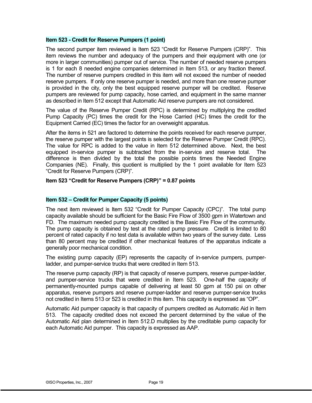#### **Item 523 - Credit for Reserve Pumpers (1 point)**

The second pumper item reviewed is Item 523 "Credit for Reserve Pumpers (CRP)". This item reviews the number and adequacy of the pumpers and their equipment with one (or more in larger communities) pumper out of service. The number of needed reserve pumpers is 1 for each 8 needed engine companies determined in Item 513, or any fraction thereof. The number of reserve pumpers credited in this item will not exceed the number of needed reserve pumpers. If only one reserve pumper is needed, and more than one reserve pumper is provided in the city, only the best equipped reserve pumper will be credited. Reserve pumpers are reviewed for pump capacity, hose carried, and equipment in the same manner as described in Item 512 except that Automatic Aid reserve pumpers are not considered.

The value of the Reserve Pumper Credit (RPC) is determined by multiplying the credited Pump Capacity (PC) times the credit for the Hose Carried (HC) times the credit for the Equipment Carried (EC) times the factor for an overweight apparatus.

After the items in 521 are factored to determine the points received for each reserve pumper, the reserve pumper with the largest points is selected for the Reserve Pumper Credit (RPC). The value for RPC is added to the value in Item 512 determined above. Next, the best equipped in-service pumper is subtracted from the in-service and reserve total. difference is then divided by the total the possible points times the Needed Engine Companies (NE). Finally, this quotient is multiplied by the 1 point available for Item 523 "Credit for Reserve Pumpers (CRP)".

#### **Item 523 "Credit for Reserve Pumpers (CRP)" = 0.87 points**

#### **Item 532 – Credit for Pumper Capacity (5 points)**

The next item reviewed is Item 532 "Credit for Pumper Capacity (CPC)". The total pump capacity available should be sufficient for the Basic Fire Flow of 3500 gpm in Watertown and FD. The maximum needed pump capacity credited is the Basic Fire Flow of the community. The pump capacity is obtained by test at the rated pump pressure. Credit is limited to 80 percent of rated capacity if no test data is available within two years of the survey date. Less than 80 percent may be credited if other mechanical features of the apparatus indicate a generally poor mechanical condition.

The existing pump capacity (EP) represents the capacity of in-service pumpers, pumperladder, and pumper-service trucks that were credited in Item 513.

The reserve pump capacity (RP) is that capacity of reserve pumpers, reserve pumper-ladder, and pumper-service trucks that were credited in Item 523. One-half the capacity of permanently-mounted pumps capable of delivering at least 50 gpm at 150 psi on other apparatus, reserve pumpers and reserve pumper-ladder and reserve pumper-service trucks not credited in Items 513 or 523 is credited in this item. This capacity is expressed as "OP".

Automatic Aid pumper capacity is that capacity of pumpers credited as Automatic Aid in Item 513. The capacity credited does not exceed the percent determined by the value of the Automatic Aid plan determined in Item 512.D multiplies by the creditable pump capacity for each Automatic Aid pumper. This capacity is expressed as AAP.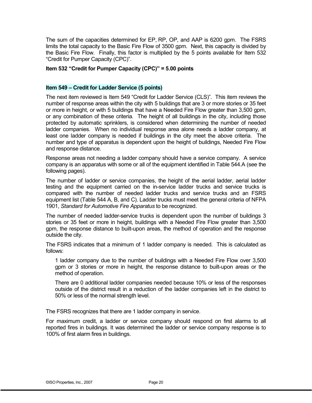The sum of the capacities determined for EP, RP, OP, and AAP is 6200 gpm. The FSRS limits the total capacity to the Basic Fire Flow of 3500 gpm. Next, this capacity is divided by the Basic Fire Flow. Finally, this factor is multiplied by the 5 points available for Item 532 "Credit for Pumper Capacity (CPC)".

#### **Item 532 "Credit for Pumper Capacity (CPC)" = 5.00 points**

#### **Item 549 – Credit for Ladder Service (5 points)**

The next item reviewed is Item 549 "Credit for Ladder Service (CLS)". This item reviews the number of response areas within the city with 5 buildings that are 3 or more stories or 35 feet or more in height, or with 5 buildings that have a Needed Fire Flow greater than 3.500 gpm. or any combination of these criteria. The height of all buildings in the city, including those protected by automatic sprinklers, is considered when determining the number of needed ladder companies. When no individual response area alone needs a ladder company, at least one ladder company is needed if buildings in the city meet the above criteria. The number and type of apparatus is dependent upon the height of buildings, Needed Fire Flow and response distance.

Response areas not needing a ladder company should have a service company. A service company is an apparatus with some or all of the equipment identified in Table 544.A (see the following pages).

The number of ladder or service companies, the height of the aerial ladder, aerial ladder testing and the equipment carried on the in-service ladder trucks and service trucks is compared with the number of needed ladder trucks and service trucks and an FSRS equipment list (Table 544 A, B, and C). Ladder trucks must meet the general criteria of NFPA 1901, *Standard for Automotive Fire Apparatus* to be recognized.

The number of needed ladder-service trucks is dependent upon the number of buildings 3 stories or 35 feet or more in height, buildings with a Needed Fire Flow greater than 3,500 gpm, the response distance to built-upon areas, the method of operation and the response outside the city.

The FSRS indicates that a minimum of 1 ladder company is needed. This is calculated as follows:

1 ladder company due to the number of buildings with a Needed Fire Flow over 3,500 gpm or 3 stories or more in height, the response distance to built-upon areas or the method of operation.

There are 0 additional ladder companies needed because 10% or less of the responses outside of the district result in a reduction of the ladder companies left in the district to 50% or less of the normal strength level.

The FSRS recognizes that there are 1 ladder company in service.

For maximum credit, a ladder or service company should respond on first alarms to all reported fires in buildings. It was determined the ladder or service company response is to 100% of first alarm fires in buildings.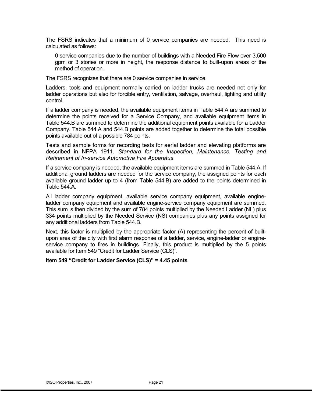The FSRS indicates that a minimum of 0 service companies are needed. This need is calculated as follows:

0 service companies due to the number of buildings with a Needed Fire Flow over 3,500 gpm or 3 stories or more in height, the response distance to built-upon areas or the method of operation.

The FSRS recognizes that there are 0 service companies in service.

Ladders, tools and equipment normally carried on ladder trucks are needed not only for ladder operations but also for forcible entry, ventilation, salvage, overhaul, lighting and utility control.

If a ladder company is needed, the available equipment items in Table 544.A are summed to determine the points received for a Service Company, and available equipment items in Table 544.B are summed to determine the additional equipment points available for a Ladder Company. Table 544.A and 544.B points are added together to determine the total possible points available out of a possible 784 points.

Tests and sample forms for recording tests for aerial ladder and elevating platforms are described in NFPA 1911, *Standard for the Inspection, Maintenance, Testing and Retirement of In-service Automotive Fire Apparatus*.

If a service company is needed, the available equipment items are summed in Table 544.A. If additional ground ladders are needed for the service company, the assigned points for each available ground ladder up to 4 (from Table 544.B) are added to the points determined in Table 544.A.

All ladder company equipment, available service company equipment, available engineladder company equipment and available engine-service company equipment are summed. This sum is then divided by the sum of 784 points multiplied by the Needed Ladder (NL) plus 334 points multiplied by the Needed Service (NS) companies plus any points assigned for any additional ladders from Table 544.B.

Next, this factor is multiplied by the appropriate factor (A) representing the percent of builtupon area of the city with first alarm response of a ladder, service, engine-ladder or engineservice company to fires in buildings. Finally, this product is multiplied by the 5 points available for Item 549 "Credit for Ladder Service (CLS)".

**Item 549 "Credit for Ladder Service (CLS)" = 4.45 points**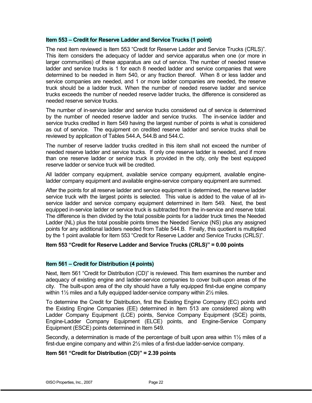#### **Item 553 – Credit for Reserve Ladder and Service Trucks (1 point)**

The next item reviewed is Item 553 "Credit for Reserve Ladder and Service Trucks (CRLS)". This item considers the adequacy of ladder and service apparatus when one (or more in larger communities) of these apparatus are out of service. The number of needed reserve ladder and service trucks is 1 for each 8 needed ladder and service companies that were determined to be needed in Item 540, or any fraction thereof. When 8 or less ladder and service companies are needed, and 1 or more ladder companies are needed, the reserve truck should be a ladder truck. When the number of needed reserve ladder and service trucks exceeds the number of needed reserve ladder trucks, the difference is considered as needed reserve service trucks.

The number of in-service ladder and service trucks considered out of service is determined by the number of needed reserve ladder and service trucks. The in-service ladder and service trucks credited in Item 549 having the largest number of points is what is considered as out of service. The equipment on credited reserve ladder and service trucks shall be reviewed by application of Tables 544.A, 544.B and 544.C.

The number of reserve ladder trucks credited in this item shall not exceed the number of needed reserve ladder and service trucks. If only one reserve ladder is needed, and if more than one reserve ladder or service truck is provided in the city, only the best equipped reserve ladder or service truck will be credited.

All ladder company equipment, available service company equipment, available engineladder company equipment and available engine-service company equipment are summed.

After the points for all reserve ladder and service equipment is determined, the reserve ladder service truck with the largest points is selected. This value is added to the value of all inservice ladder and service company equipment determined in Item 549. Next, the best equipped in-service ladder or service truck is subtracted from the in-service and reserve total. The difference is then divided by the total possible points for a ladder truck times the Needed Ladder (NL) plus the total possible points times the Needed Service (NS) plus any assigned points for any additional ladders needed from Table 544.B. Finally, this quotient is multiplied by the 1 point available for Item 553 "Credit for Reserve Ladder and Service Trucks (CRLS)".

#### **Item 553 "Credit for Reserve Ladder and Service Trucks (CRLS)" = 0.00 points**

#### **Item 561 – Credit for Distribution (4 points)**

Next, Item 561 "Credit for Distribution (CD)" is reviewed. This Item examines the number and adequacy of existing engine and ladder-service companies to cover built-upon areas of the city. The built-upon area of the city should have a fully equipped first-due engine company within 1½ miles and a fully equipped ladder-service company within 2½ miles.

To determine the Credit for Distribution, first the Existing Engine Company (EC) points and the Existing Engine Companies (EE) determined in Item 513 are considered along with Ladder Company Equipment (LCE) points, Service Company Equipment (SCE) points, Engine-Ladder Company Equipment (ELCE) points, and Engine-Service Company Equipment (ESCE) points determined in Item 549.

Secondly, a determination is made of the percentage of built upon area within 1½ miles of a first-due engine company and within 2½ miles of a first-due ladder-service company.

#### **Item 561 "Credit for Distribution (CD)" = 2.39 points**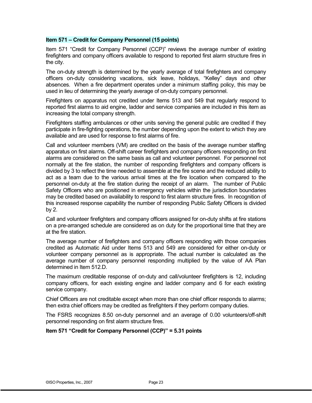#### **Item 571 – Credit for Company Personnel (15 points)**

Item 571 "Credit for Company Personnel (CCP)" reviews the average number of existing firefighters and company officers available to respond to reported first alarm structure fires in the city.

The on-duty strength is determined by the yearly average of total firefighters and company officers on-duty considering vacations, sick leave, holidays, "Kelley" days and other absences. When a fire department operates under a minimum staffing policy, this may be used in lieu of determining the yearly average of on-duty company personnel.

Firefighters on apparatus not credited under Items 513 and 549 that regularly respond to reported first alarms to aid engine, ladder and service companies are included in this item as increasing the total company strength.

Firefighters staffing ambulances or other units serving the general public are credited if they participate in fire-fighting operations, the number depending upon the extent to which they are available and are used for response to first alarms of fire.

Call and volunteer members (VM) are credited on the basis of the average number staffing apparatus on first alarms. Off-shift career firefighters and company officers responding on first alarms are considered on the same basis as call and volunteer personnel. For personnel not normally at the fire station, the number of responding firefighters and company officers is divided by 3 to reflect the time needed to assemble at the fire scene and the reduced ability to act as a team due to the various arrival times at the fire location when compared to the personnel on-duty at the fire station during the receipt of an alarm. The number of Public Safety Officers who are positioned in emergency vehicles within the jurisdiction boundaries may be credited based on availability to respond to first alarm structure fires. In recognition of this increased response capability the number of responding Public Safety Officers is divided by 2.

Call and volunteer firefighters and company officers assigned for on-duty shifts at fire stations on a pre-arranged schedule are considered as on duty for the proportional time that they are at the fire station.

The average number of firefighters and company officers responding with those companies credited as Automatic Aid under Items 513 and 549 are considered for either on-duty or volunteer company personnel as is appropriate. The actual number is calculated as the average number of company personnel responding multiplied by the value of AA Plan determined in Item 512.D.

The maximum creditable response of on-duty and call/volunteer firefighters is 12, including company officers, for each existing engine and ladder company and 6 for each existing service company.

Chief Officers are not creditable except when more than one chief officer responds to alarms; then extra chief officers may be credited as firefighters if they perform company duties.

The FSRS recognizes 8.50 on-duty personnel and an average of 0.00 volunteers/off-shift personnel responding on first alarm structure fires.

#### **Item 571 "Credit for Company Personnel (CCP)" = 5.31 points**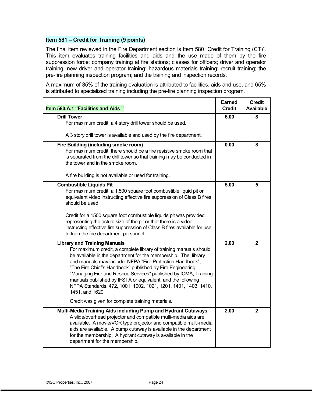#### **Item 581 – Credit for Training (9 points)**

The final item reviewed in the Fire Department section is Item 580 "Credit for Training (CT)". This item evaluates training facilities and aids and the use made of them by the fire suppression force; company training at fire stations; classes for officers; driver and operator training; new driver and operator training; hazardous materials training; recruit training; the pre-fire planning inspection program; and the training and inspection records.

A maximum of 35% of the training evaluation is attributed to facilities, aids and use, and 65% is attributed to specialized training including the pre-fire planning inspection program.

| Item 580.A.1 "Facilities and Aids"                                                                                                                                                                                                                                                                                                                                                                                                                                                                                           | <b>Earned</b><br><b>Credit</b> | <b>Credit</b><br><b>Available</b> |
|------------------------------------------------------------------------------------------------------------------------------------------------------------------------------------------------------------------------------------------------------------------------------------------------------------------------------------------------------------------------------------------------------------------------------------------------------------------------------------------------------------------------------|--------------------------------|-----------------------------------|
| <b>Drill Tower</b>                                                                                                                                                                                                                                                                                                                                                                                                                                                                                                           | 6.00                           | 8                                 |
| For maximum credit, a 4 story drill tower should be used.                                                                                                                                                                                                                                                                                                                                                                                                                                                                    |                                |                                   |
| A 3 story drill tower is available and used by the fire department.                                                                                                                                                                                                                                                                                                                                                                                                                                                          |                                |                                   |
| Fire Building (including smoke room)<br>For maximum credit, there should be a fire resistive smoke room that<br>is separated from the drill tower so that training may be conducted in<br>the tower and in the smoke room.                                                                                                                                                                                                                                                                                                   | 0.00                           | 8                                 |
| A fire building is not available or used for training.                                                                                                                                                                                                                                                                                                                                                                                                                                                                       |                                |                                   |
| <b>Combustible Liquids Pit</b><br>For maximum credit, a 1,500 square foot combustible liquid pit or<br>equivalent video instructing effective fire suppression of Class B fires<br>should be used.                                                                                                                                                                                                                                                                                                                           | 5.00                           | 5                                 |
| Credit for a 1500 square foot combustible liquids pit was provided<br>representing the actual size of the pit or that there is a video<br>instructing effective fire suppression of Class B fires available for use<br>to train the fire department personnel.                                                                                                                                                                                                                                                               |                                |                                   |
| <b>Library and Training Manuals</b><br>For maximum credit, a complete library of training manuals should<br>be available in the department for the membership. The library<br>and manuals may include: NFPA "Fire Protection Handbook",<br>"The Fire Chief's Handbook" published by Fire Engineering,<br>"Managing Fire and Rescue Services" published by ICMA, Training<br>manuals published by IFSTA or equivalent, and the following<br>NFPA Standards, 472, 1001, 1002, 1021, 1201, 1401, 1403, 1410,<br>1451, and 1620. | 2.00                           | $\mathbf{2}$                      |
| Credit was given for complete training materials.                                                                                                                                                                                                                                                                                                                                                                                                                                                                            |                                |                                   |
| Multi-Media Training Aids including Pump and Hydrant Cutaways<br>A slide/overhead projector and compatible multi-media aids are<br>available. A movie/VCR type projector and compatible multi-media<br>aids are available. A pump cutaway is available in the department<br>for the membership. A hydrant cutaway is available in the<br>department for the membership.                                                                                                                                                      | 2.00                           | $\mathbf{2}$                      |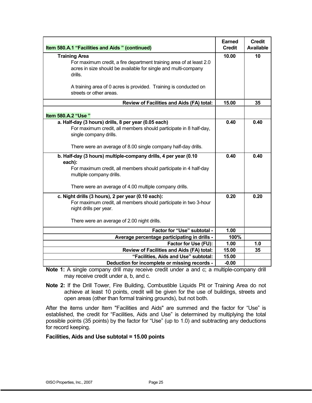| Item 580.A.1 "Facilities and Aids" (continued)                                                                                                                            | <b>Earned</b><br><b>Credit</b> | <b>Credit</b><br><b>Available</b> |
|---------------------------------------------------------------------------------------------------------------------------------------------------------------------------|--------------------------------|-----------------------------------|
| <b>Training Area</b>                                                                                                                                                      | 10.00                          | 10                                |
| For maximum credit, a fire department training area of at least 2.0<br>acres in size should be available for single and multi-company<br>drills.                          |                                |                                   |
| A training area of 0 acres is provided. Training is conducted on<br>streets or other areas.                                                                               |                                |                                   |
| Review of Facilities and Aids (FA) total:                                                                                                                                 | 15.00                          | 35                                |
| Item 580.A.2 "Use"                                                                                                                                                        |                                |                                   |
| a. Half-day (3 hours) drills, 8 per year (0.05 each)<br>For maximum credit, all members should participate in 8 half-day,<br>single company drills.                       | 0.40                           | 0.40                              |
| There were an average of 8.00 single company half-day drills.                                                                                                             |                                |                                   |
| b. Half-day (3 hours) multiple-company drills, 4 per year (0.10<br>each):<br>For maximum credit, all members should participate in 4 half-day<br>multiple company drills. |                                | 0.40                              |
| There were an average of 4.00 multiple company drills.                                                                                                                    |                                |                                   |
| c. Night drills (3 hours), 2 per year (0.10 each):<br>For maximum credit, all members should participate in two 3-hour<br>night drills per year.                          | 0.20                           | 0.20                              |
| There were an average of 2.00 night drills.                                                                                                                               |                                |                                   |
| Factor for "Use" subtotal -                                                                                                                                               | 1.00                           |                                   |
| Average percentage participating in drills -                                                                                                                              | 100%                           |                                   |
| Factor for Use (FU):<br>Review of Facilities and Aids (FA) total:                                                                                                         | 1.00<br>15.00                  | 1.0<br>35                         |
| "Facilities, Aids and Use" subtotal:                                                                                                                                      | 15.00                          |                                   |
| Deduction for incomplete or missing records -                                                                                                                             | $-0.00$                        |                                   |

- **Note 1:** A single company drill may receive credit under a and c; a multiple-company drill may receive credit under a, b, and c.
- **Note 2:** If the Drill Tower, Fire Building, Combustible Liquids Pit or Training Area do not achieve at least 10 points, credit will be given for the use of buildings, streets and open areas (other than formal training grounds), but not both.

After the items under Item "Facilities and Aids" are summed and the factor for "Use" is established, the credit for "Facilities, Aids and Use" is determined by multiplying the total possible points (35 points) by the factor for "Use" (up to 1.0) and subtracting any deductions for record keeping.

#### **Facilities, Aids and Use subtotal = 15.00 points**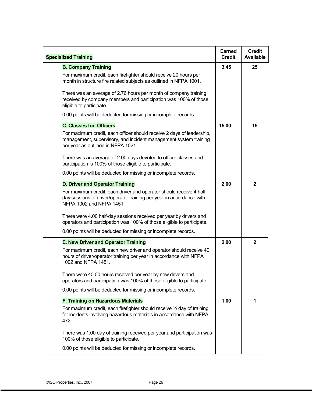| <b>Specialized Training</b>                                                                                                                                                     | <b>Earned</b><br><b>Credit</b> | <b>Credit</b><br><b>Available</b> |
|---------------------------------------------------------------------------------------------------------------------------------------------------------------------------------|--------------------------------|-----------------------------------|
| <b>B. Company Training</b>                                                                                                                                                      | 3.45                           | 25                                |
| For maximum credit, each firefighter should receive 20 hours per<br>month in structure fire related subjects as outlined in NFPA 1001.                                          |                                |                                   |
| There was an average of 2.76 hours per month of company training<br>received by company members and participation was 100% of those<br>eligible to participate.                 |                                |                                   |
| 0.00 points will be deducted for missing or incomplete records.                                                                                                                 |                                |                                   |
| <b>C. Classes for Officers</b>                                                                                                                                                  | 15.00                          | 15                                |
| For maximum credit, each officer should receive 2 days of leadership,<br>management, supervisory, and incident management system training<br>per year as outlined in NFPA 1021. |                                |                                   |
| There was an average of 2.00 days devoted to officer classes and<br>participation is 100% of those eligible to participate.                                                     |                                |                                   |
| 0.00 points will be deducted for missing or incomplete records.                                                                                                                 |                                |                                   |
| <b>D. Driver and Operator Training</b>                                                                                                                                          | 2.00                           | $\mathbf{2}$                      |
| For maximum credit, each driver and operator should receive 4 half-<br>day sessions of driver/operator training per year in accordance with<br>NFPA 1002 and NFPA 1451.         |                                |                                   |
| There were 4.00 half-day sessions received per year by drivers and<br>operators and participation was 100% of those eligible to participate.                                    |                                |                                   |
| 0.00 points will be deducted for missing or incomplete records.                                                                                                                 |                                |                                   |
| <b>E. New Driver and Operator Training</b>                                                                                                                                      | 2.00                           | $\mathbf 2$                       |
| For maximum credit, each new driver and operator should receive 40<br>hours of driver/operator training per year in accordance with NFPA<br>1002 and NFPA 1451.                 |                                |                                   |
| There were 40.00 hours received per year by new drivers and<br>operators and participation was 100% of those eligible to participate.                                           |                                |                                   |
| 0.00 points will be deducted for missing or incomplete records.                                                                                                                 |                                |                                   |
| <b>F. Training on Hazardous Materials</b>                                                                                                                                       | 1.00                           | 1                                 |
| For maximum credit, each firefighter should receive $\frac{1}{2}$ day of training<br>for incidents involving hazardous materials in accordance with NFPA<br>472.                |                                |                                   |
| There was 1.00 day of training received per year and participation was<br>100% of those eligible to participate.                                                                |                                |                                   |
| 0.00 points will be deducted for missing or incomplete records.                                                                                                                 |                                |                                   |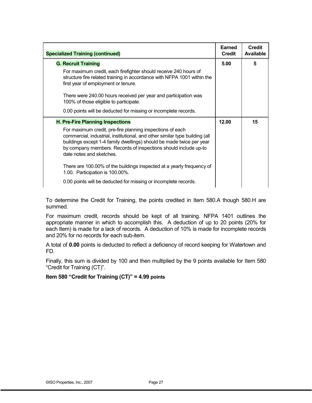| <b>Specialized Training (continued)</b>                                                                                                                                                                                                                                                                         | Earned<br><b>Credit</b> | Credit<br>Available |
|-----------------------------------------------------------------------------------------------------------------------------------------------------------------------------------------------------------------------------------------------------------------------------------------------------------------|-------------------------|---------------------|
| <b>G. Recruit Training</b>                                                                                                                                                                                                                                                                                      | 5.00                    | 5                   |
| For maximum credit, each firefighter should receive 240 hours of<br>structure fire related training in accordance with NFPA 1001 within the<br>first year of employment or tenure.                                                                                                                              |                         |                     |
| There were 240.00 hours received per year and participation was<br>100% of those eligible to participate.                                                                                                                                                                                                       |                         |                     |
| 0.00 points will be deducted for missing or incomplete records.                                                                                                                                                                                                                                                 |                         |                     |
| <b>H. Pre-Fire Planning Inspections</b>                                                                                                                                                                                                                                                                         | 12.00                   | 15                  |
| For maximum credit, pre-fire planning inspections of each<br>commercial, industrial, institutional, and other similar type building (all<br>buildings except 1-4 family dwellings) should be made twice per year<br>by company members. Records of inspections should include up-to<br>date notes and sketches. |                         |                     |
| There are 100.00% of the buildings inspected at a yearly frequency of<br>1.00. Participation is 100.00%.                                                                                                                                                                                                        |                         |                     |
| 0.00 points will be deducted for missing or incomplete records.                                                                                                                                                                                                                                                 |                         |                     |

To determine the Credit for Training, the points credited in Item 580.A though 580.H are summed.

For maximum credit, records should be kept of all training. NFPA 1401 outlines the appropriate manner in which to accomplish this. A deduction of up to 20 points (20% for each Item) is made for a lack of records. A deduction of 10% is made for incomplete records and 20% for no records for each sub-item.

A total of **0.00** points is deducted to reflect a deficiency of record keeping for Watertown and FD.

Finally, this sum is divided by 100 and then multiplied by the 9 points available for Item 580 "Credit for Training (CT)".

#### **Item 580 "Credit for Training (CT)" = 4.99 points**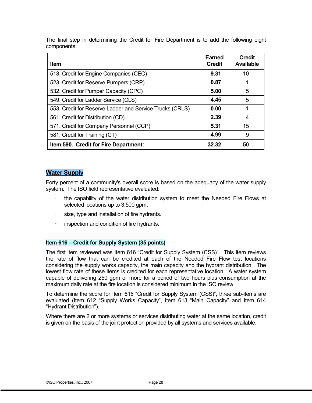The final step in determining the Credit for Fire Department is to add the following eight components:

| <b>Item</b>                                              | <b>Earned</b><br><b>Credit</b> | <b>Credit</b><br><b>Available</b> |
|----------------------------------------------------------|--------------------------------|-----------------------------------|
| 513. Credit for Engine Companies (CEC)                   | 9.31                           | 10                                |
| 523. Credit for Reserve Pumpers (CRP)                    | 0.87                           |                                   |
| 532. Credit for Pumper Capacity (CPC)                    | 5.00                           | 5                                 |
| 549. Credit for Ladder Service (CLS)                     | 4.45                           | 5                                 |
| 553. Credit for Reserve Ladder and Service Trucks (CRLS) | 0.00                           |                                   |
| 561. Credit for Distribution (CD)                        | 2.39                           | 4                                 |
| 571. Credit for Company Personnel (CCP)                  | 5.31                           | 15                                |
| 581. Credit for Training (CT)                            | 4.99                           | 9                                 |
| Item 590. Credit for Fire Department:                    | 32.32                          | 50                                |

#### **Water Supply**

Forty percent of a community's overall score is based on the adequacy of the water supply system. The ISO field representative evaluated:

- the capability of the water distribution system to meet the Needed Fire Flows at selected locations up to 3,500 gpm.
- size, type and installation of fire hydrants.
- inspection and condition of fire hydrants.

#### **Item 616 – Credit for Supply System (35 points)**

The first item reviewed was Item 616 "Credit for Supply System (CSS)". This item reviews the rate of flow that can be credited at each of the Needed Fire Flow test locations considering the supply works capacity, the main capacity and the hydrant distribution. The lowest flow rate of these items is credited for each representative location. A water system capable of delivering 250 gpm or more for a period of two hours plus consumption at the maximum daily rate at the fire location is considered minimum in the ISO review.

To determine the score for Item 616 "Credit for Supply System (CSS)", three sub-items are evaluated (Item 612 "Supply Works Capacity", Item 613 "Main Capacity" and Item 614 "Hydrant Distribution").

Where there are 2 or more systems or services distributing water at the same location, credit is given on the basis of the joint protection provided by all systems and services available.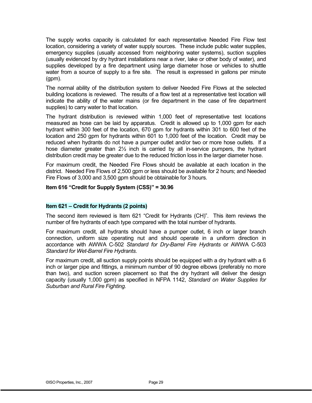The supply works capacity is calculated for each representative Needed Fire Flow test location, considering a variety of water supply sources. These include public water supplies, emergency supplies (usually accessed from neighboring water systems), suction supplies (usually evidenced by dry hydrant installations near a river, lake or other body of water), and supplies developed by a fire department using large diameter hose or vehicles to shuttle water from a source of supply to a fire site. The result is expressed in gallons per minute (gpm).

The normal ability of the distribution system to deliver Needed Fire Flows at the selected building locations is reviewed. The results of a flow test at a representative test location will indicate the ability of the water mains (or fire department in the case of fire department supplies) to carry water to that location.

The hydrant distribution is reviewed within 1,000 feet of representative test locations measured as hose can be laid by apparatus. Credit is allowed up to 1,000 gpm for each hydrant within 300 feet of the location, 670 gpm for hydrants within 301 to 600 feet of the location and 250 gpm for hydrants within 601 to 1,000 feet of the location. Credit may be reduced when hydrants do not have a pumper outlet and/or two or more hose outlets. If a hose diameter greater than 2½ inch is carried by all in-service pumpers, the hydrant distribution credit may be greater due to the reduced friction loss in the larger diameter hose.

For maximum credit, the Needed Fire Flows should be available at each location in the district. Needed Fire Flows of 2,500 gpm or less should be available for 2 hours; and Needed Fire Flows of 3,000 and 3,500 gpm should be obtainable for 3 hours.

#### **Item 616 "Credit for Supply System (CSS)" = 30.96**

#### **Item 621 – Credit for Hydrants (2 points)**

The second item reviewed is Item 621 "Credit for Hydrants (CH)". This item reviews the number of fire hydrants of each type compared with the total number of hydrants.

For maximum credit, all hydrants should have a pumper outlet, 6 inch or larger branch connection, uniform size operating nut and should operate in a uniform direction in accordance with AWWA C-502 *Standard for Dry-Barrel Fire Hydrants* or AWWA C-503 *Standard for Wet-Barrel Fire Hydrants*.

For maximum credit, all suction supply points should be equipped with a dry hydrant with a 6 inch or larger pipe and fittings, a minimum number of 90 degree elbows (preferably no more than two), and suction screen placement so that the dry hydrant will deliver the design capacity (usually 1,000 gpm) as specified in NFPA 1142, *Standard on Water Supplies for Suburban and Rural Fire Fighting.*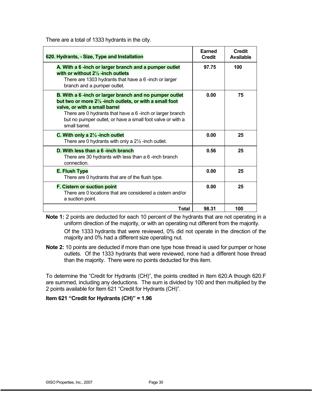| There are a total of 1333 hydrants in the city. |  |
|-------------------------------------------------|--|
|-------------------------------------------------|--|

| 620. Hydrants, - Size, Type and Installation                                                                                                                                                                                                                                                   | Earned<br><b>Credit</b> | <b>Credit</b><br><b>Available</b> |
|------------------------------------------------------------------------------------------------------------------------------------------------------------------------------------------------------------------------------------------------------------------------------------------------|-------------------------|-----------------------------------|
| A. With a 6-inch or larger branch and a pumper outlet<br>with or without 2 <sup>1</sup> / <sub>2</sub> -inch outlets<br>There are 1303 hydrants that have a 6-inch or larger<br>branch and a pumper outlet.                                                                                    | 97.75                   | 100                               |
| B. With a 6-inch or larger branch and no pumper outlet<br>but two or more 21/2 -inch outlets, or with a small foot<br>valve, or with a small barrel<br>There are 0 hydrants that have a 6-inch or larger branch<br>but no pumper outlet, or have a small foot valve or with a<br>small barrel. | 0.00                    | 75                                |
| C. With only a $2\frac{1}{2}$ -inch outlet<br>There are 0 hydrants with only a $2\frac{1}{2}$ -inch outlet.                                                                                                                                                                                    | 0.00                    | 25                                |
| D. With less than a 6-inch branch<br>There are 30 hydrants with less than a 6-inch branch<br>connection.                                                                                                                                                                                       | 0.56                    | 25                                |
| <b>E. Flush Type</b><br>There are 0 hydrants that are of the flush type.                                                                                                                                                                                                                       | 0.00                    | 25                                |
| F. Cistern or suction point<br>There are 0 locations that are considered a cistern and/or<br>a suction point.                                                                                                                                                                                  | 0.00                    | 25                                |
| Total                                                                                                                                                                                                                                                                                          | 98.31                   | 100                               |

**Note 1:** 2 points are deducted for each 10 percent of the hydrants that are not operating in a uniform direction of the majority, or with an operating nut different from the majority.

Of the 1333 hydrants that were reviewed, 0% did not operate in the direction of the majority and 0% had a different size operating nut.

**Note 2:** 10 points are deducted if more than one type hose thread is used for pumper or hose outlets. Of the 1333 hydrants that were reviewed, none had a different hose thread than the majority. There were no points deducted for this item.

To determine the "Credit for Hydrants (CH)", the points credited in Item 620.A though 620.F are summed, including any deductions. The sum is divided by 100 and then multiplied by the 2 points available for Item 621 "Credit for Hydrants (CH)".

**Item 621 "Credit for Hydrants (CH)" = 1.96**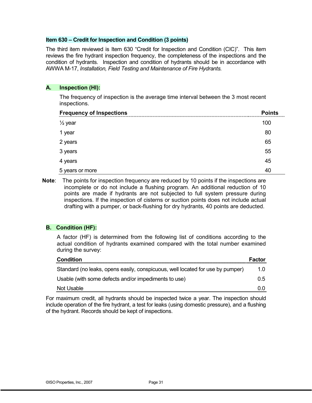#### **Item 630 – Credit for Inspection and Condition (3 points)**

The third item reviewed is Item 630 "Credit for Inspection and Condition (CIC)". This item reviews the fire hydrant inspection frequency, the completeness of the inspections and the condition of hydrants. Inspection and condition of hydrants should be in accordance with AWWA M-17, *Installation, Field Testing and Maintenance of Fire Hydrants.* 

#### **A. Inspection (HI):**

The frequency of inspection is the average time interval between the 3 most recent inspections.

| <b>Frequency of Inspections</b> | <b>Points</b> |
|---------------------------------|---------------|
| $\frac{1}{2}$ year              | 100           |
| an Salah<br>Sejarah<br>1 year   | 80            |
| 2 years                         | 65            |
| 3 years                         | 55            |
| 4 years                         | 45            |
| 5 years or more                 |               |

**Note**: The points for inspection frequency are reduced by 10 points if the inspections are incomplete or do not include a flushing program. An additional reduction of 10 points are made if hydrants are not subjected to full system pressure during inspections. If the inspection of cisterns or suction points does not include actual drafting with a pumper, or back-flushing for dry hydrants, 40 points are deducted.

#### **B. Condition (HF):**

A factor (HF) is determined from the following list of conditions according to the actual condition of hydrants examined compared with the total number examined during the survey:

| Condition                                                                      | Factor |
|--------------------------------------------------------------------------------|--------|
| Standard (no leaks, opens easily, conspicuous, well located for use by pumper) | 1.0    |
| Usable (with some defects and/or impediments to use)                           | 0.5    |
| Not Usable                                                                     | . O O  |

For maximum credit, all hydrants should be inspected twice a year. The inspection should include operation of the fire hydrant, a test for leaks (using domestic pressure), and a flushing of the hydrant. Records should be kept of inspections.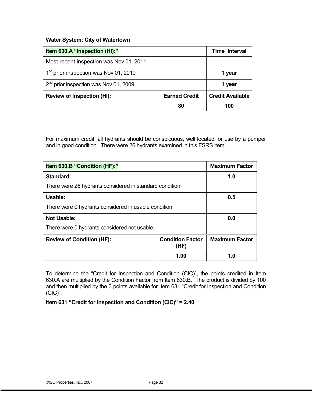#### **Water System: City of Watertown**

| Item 630.A "Inspection (HI):"                     |                      | <b>Time Interval</b>    |
|---------------------------------------------------|----------------------|-------------------------|
| Most recent inspection was Nov 01, 2011           |                      |                         |
| 1 <sup>st</sup> prior inspection was Nov 01, 2010 |                      | 1 year                  |
| $2nd$ prior inspection was Nov 01, 2009           |                      | 1 year                  |
| <b>Review of Inspection (HI):</b>                 | <b>Earned Credit</b> | <b>Credit Available</b> |
|                                                   | 80                   | 100                     |

For maximum credit, all hydrants should be conspicuous, well located for use by a pumper and in good condition. There were 26 hydrants examined in this FSRS item.

| Item 630.B "Condition (HF):"                             |                                 | <b>Maximum Factor</b> |
|----------------------------------------------------------|---------------------------------|-----------------------|
| Standard:                                                |                                 | 1.0                   |
| There were 26 hydrants considered in standard condition. |                                 |                       |
| Usable:                                                  |                                 | 0.5                   |
| There were 0 hydrants considered in usable condition.    |                                 |                       |
| <b>Not Usable:</b>                                       |                                 | 0.0                   |
| There were 0 hydrants considered not usable.             |                                 |                       |
| <b>Review of Condition (HF):</b>                         | <b>Condition Factor</b><br>(HF) | <b>Maximum Factor</b> |
|                                                          | 1.00                            | 1.0                   |

To determine the "Credit for Inspection and Condition (CIC)", the points credited in Item 630.A are multiplied by the Condition Factor from Item 630.B. The product is divided by 100 and then multiplied by the 3 points available for Item 631 "Credit for Inspection and Condition (CIC)".

**Item 631 "Credit for Inspection and Condition (CIC)" = 2.40**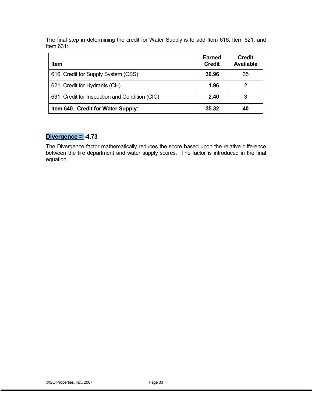The final step in determining the credit for Water Supply is to add Item 616, Item 621, and Item 631:

| <b>Item</b>                                    | Earned<br><b>Credit</b> | <b>Credit</b><br><b>Available</b> |
|------------------------------------------------|-------------------------|-----------------------------------|
| 616. Credit for Supply System (CSS)            | 30.96                   | 35                                |
| 621. Credit for Hydrants (CH)                  | 1.96                    |                                   |
| 631. Credit for Inspection and Condition (CIC) | 2.40                    | 3                                 |
| Item 640. Credit for Water Supply:             | 35.32                   | 40                                |

# **Divergence = -4.73**

The Divergence factor mathematically reduces the score based upon the relative difference between the fire department and water supply scores. The factor is introduced in the final equation.